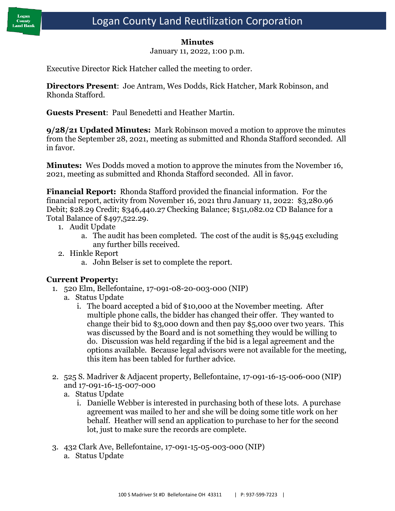#### **Minutes**

January 11, 2022, 1:00 p.m.

Executive Director Rick Hatcher called the meeting to order.

**Directors Present**: Joe Antram, Wes Dodds, Rick Hatcher, Mark Robinson, and Rhonda Stafford.

**Guests Present**: Paul Benedetti and Heather Martin.

**9/28/21 Updated Minutes:** Mark Robinson moved a motion to approve the minutes from the September 28, 2021, meeting as submitted and Rhonda Stafford seconded. All in favor.

**Minutes:** Wes Dodds moved a motion to approve the minutes from the November 16, 2021, meeting as submitted and Rhonda Stafford seconded. All in favor.

**Financial Report:** Rhonda Stafford provided the financial information. For the financial report, activity from November 16, 2021 thru January 11, 2022: \$3,280.96 Debit; \$28.29 Credit; \$346,440.27 Checking Balance; \$151,082.02 CD Balance for a Total Balance of \$497,522.29.

- 1. Audit Update
	- a. The audit has been completed. The cost of the audit is \$5,945 excluding any further bills received.
- 2. Hinkle Report
	- a. John Belser is set to complete the report.

#### **Current Property:**

- 1. 520 Elm, Bellefontaine, 17-091-08-20-003-000 (NIP)
	- a. Status Update
		- i. The board accepted a bid of \$10,000 at the November meeting. After multiple phone calls, the bidder has changed their offer. They wanted to change their bid to \$3,000 down and then pay \$5,000 over two years. This was discussed by the Board and is not something they would be willing to do. Discussion was held regarding if the bid is a legal agreement and the options available. Because legal advisors were not available for the meeting, this item has been tabled for further advice.
- 2. 525 S. Madriver & Adjacent property, Bellefontaine, 17-091-16-15-006-000 (NIP) and 17-091-16-15-007-000
	- a. Status Update
		- i. Danielle Webber is interested in purchasing both of these lots. A purchase agreement was mailed to her and she will be doing some title work on her behalf. Heather will send an application to purchase to her for the second lot, just to make sure the records are complete.
- 3. 432 Clark Ave, Bellefontaine, 17-091-15-05-003-000 (NIP) a. Status Update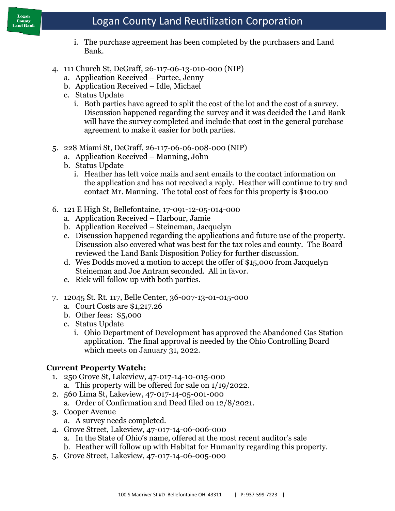# County

# Logan County Land Reutilization Corporation

- i. The purchase agreement has been completed by the purchasers and Land Bank.
- 4. 111 Church St, DeGraff, 26-117-06-13-010-000 (NIP)
	- a. Application Received Purtee, Jenny
	- b. Application Received Idle, Michael
	- c. Status Update
		- i. Both parties have agreed to split the cost of the lot and the cost of a survey. Discussion happened regarding the survey and it was decided the Land Bank will have the survey completed and include that cost in the general purchase agreement to make it easier for both parties.
- 5. 228 Miami St, DeGraff, 26-117-06-06-008-000 (NIP)
	- a. Application Received Manning, John
	- b. Status Update
		- i. Heather has left voice mails and sent emails to the contact information on the application and has not received a reply. Heather will continue to try and contact Mr. Manning. The total cost of fees for this property is \$100.00
- 6. 121 E High St, Bellefontaine, 17-091-12-05-014-000
	- a. Application Received Harbour, Jamie
	- b. Application Received Steineman, Jacquelyn
	- c. Discussion happened regarding the applications and future use of the property. Discussion also covered what was best for the tax roles and county. The Board reviewed the Land Bank Disposition Policy for further discussion.
	- d. Wes Dodds moved a motion to accept the offer of \$15,000 from Jacquelyn Steineman and Joe Antram seconded. All in favor.
	- e. Rick will follow up with both parties.
- 7. 12045 St. Rt. 117, Belle Center, 36-007-13-01-015-000
	- a. Court Costs are \$1,217.26
	- b. Other fees: \$5,000
	- c. Status Update
		- i. Ohio Department of Development has approved the Abandoned Gas Station application. The final approval is needed by the Ohio Controlling Board which meets on January 31, 2022.

#### **Current Property Watch:**

- 1. 250 Grove St, Lakeview, 47-017-14-10-015-000
	- a. This property will be offered for sale on 1/19/2022.
- 2. 560 Lima St, Lakeview, 47-017-14-05-001-000
	- a. Order of Confirmation and Deed filed on 12/8/2021.
- 3. Cooper Avenue
	- a. A survey needs completed.
- 4. Grove Street, Lakeview, 47-017-14-06-006-000
	- a. In the State of Ohio's name, offered at the most recent auditor's sale
	- b. Heather will follow up with Habitat for Humanity regarding this property.
- 5. Grove Street, Lakeview, 47-017-14-06-005-000